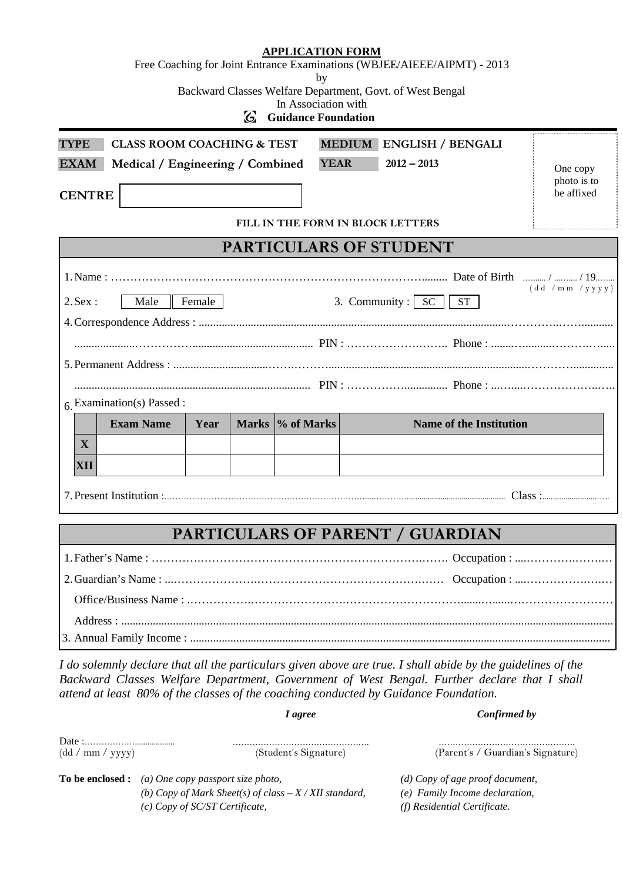|      | <b>CLASS ROOM COACHING &amp; TEST</b>   | MEDIUM ENGLISH / BENGALI<br>$2012 - 2013$             | One copy<br>photo is to                                                                                                                       |
|------|-----------------------------------------|-------------------------------------------------------|-----------------------------------------------------------------------------------------------------------------------------------------------|
|      |                                         |                                                       | be affixed                                                                                                                                    |
|      |                                         |                                                       |                                                                                                                                               |
|      |                                         |                                                       |                                                                                                                                               |
|      |                                         |                                                       |                                                                                                                                               |
| Year |                                         | <b>Name of the Institution</b>                        |                                                                                                                                               |
|      |                                         |                                                       |                                                                                                                                               |
|      |                                         |                                                       |                                                                                                                                               |
|      |                                         |                                                       |                                                                                                                                               |
|      | Female<br>$6$ , Examination(s) Passed : | Medical / Engineering / Combined<br>Marks \% of Marks | <b>YEAR</b><br>FILL IN THE FORM IN BLOCK LETTERS<br><b>PARTICULARS OF STUDENT</b><br>(dd /mm /yyy)<br>3. Community : $\sqrt{SC}$<br><b>ST</b> |

*I agree Confirmed by*

*I do solemnly declare that all the particulars given above are true. I shall abide by the guidelines of the Backward Classes Welfare Department, Government of West Bengal. Further declare that I shall attend at least 80% of the classes of the coaching conducted by Guidance Foundation.*

| (dd/mm / yyy) | (Student's Signature)                                     | (Parent's / Guardian's Signature) |  |  |  |
|---------------|-----------------------------------------------------------|-----------------------------------|--|--|--|
|               | <b>To be enclosed :</b> (a) One copy passport size photo, | (d) Copy of age proof document,   |  |  |  |
|               | (b) Copy of Mark Sheet(s) of class $-X/XII$ standard,     | (e) Family Income declaration,    |  |  |  |
|               | (c) Copy of SC/ST Certificate,                            | (f) Residential Certificate.      |  |  |  |